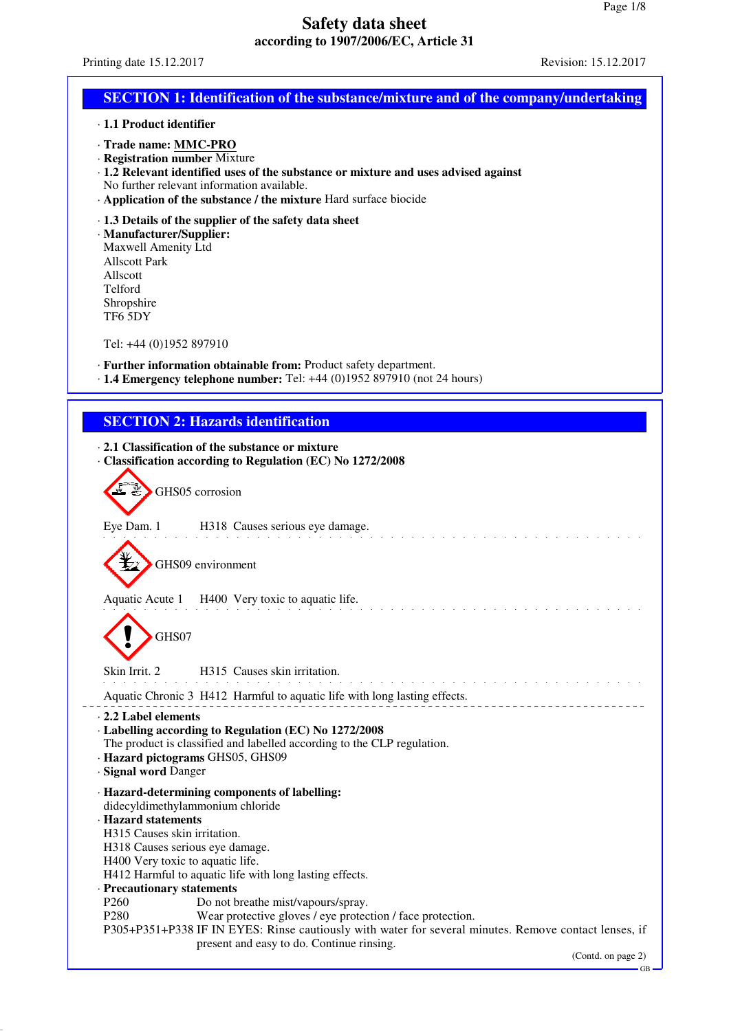## **SECTION 1: Identification of the substance/mixture and of the company/undertaking**

## · **1.1 Product identifier**

- · **Trade name: MMC-PRO**
- · **Registration number** Mixture
- · **1.2 Relevant identified uses of the substance or mixture and uses advised against** No further relevant information available.
- · **Application of the substance / the mixture** Hard surface biocide

#### · **1.3 Details of the supplier of the safety data sheet**

· **Manufacturer/Supplier:** Maxwell Amenity Ltd Allscott Park Allscott Telford Shropshire TF6 5DY

Tel: +44 (0)1952 897910

- · **Further information obtainable from:** Product safety department.
- · **1.4 Emergency telephone number:** Tel: +44 (0)1952 897910 (not 24 hours)

## **SECTION 2: Hazards identification**

## · **2.1 Classification of the substance or mixture**

· **Classification according to Regulation (EC) No 1272/2008**

GHS05 corrosion

Eye Dam. 1 H318 Causes serious eye damage.

GHS09 environment

Aquatic Acute 1 H400 Very toxic to aquatic life.

# GHS<sub>07</sub>

Skin Irrit. 2 H315 Causes skin irritation.

Aquatic Chronic 3 H412 Harmful to aquatic life with long lasting effects.

#### · **2.2 Label elements**

#### · **Labelling according to Regulation (EC) No 1272/2008**

- The product is classified and labelled according to the CLP regulation.
- · **Hazard pictograms** GHS05, GHS09
- · **Signal word** Danger
- · **Hazard-determining components of labelling:** didecyldimethylammonium chloride · **Hazard statements** H315 Causes skin irritation. H318 Causes serious eye damage. H400 Very toxic to aquatic life. H412 Harmful to aquatic life with long lasting effects. · **Precautionary statements** P260 Do not breathe mist/vapours/spray.<br>P280 Wear protective gloves / eve protective. Wear protective gloves / eye protection / face protection.
- P305+P351+P338 IF IN EYES: Rinse cautiously with water for several minutes. Remove contact lenses, if present and easy to do. Continue rinsing.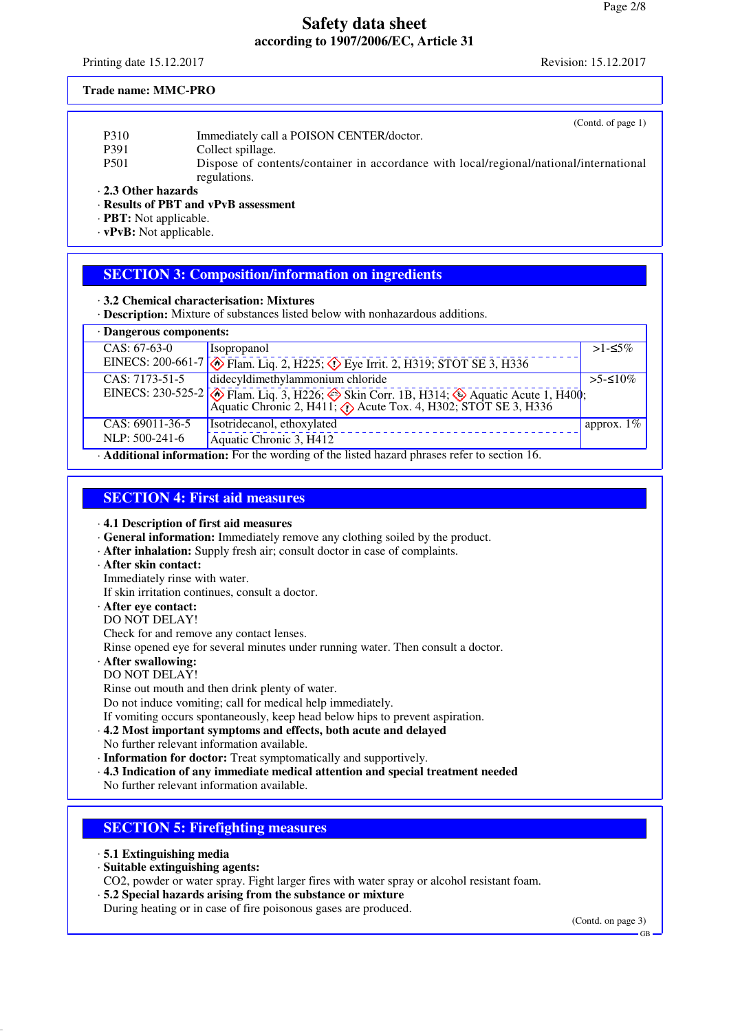Printing date 15.12.2017 Revision: 15.12.2017

#### **Trade name: MMC-PRO**

|      | (Contd. of page 1)                                                                     |
|------|----------------------------------------------------------------------------------------|
| P310 | Immediately call a POISON CENTER/doctor.                                               |
| P391 | Collect spillage.                                                                      |
| D501 | Dispose of contents/container in accordance with local/regional/national/international |

P501 Dispose of contents/container in accordance with local/regional/national/international regulations.

· **2.3 Other hazards**

· **Results of PBT and vPvB assessment**

- · **PBT:** Not applicable.
- · **vPvB:** Not applicable.

# **SECTION 3: Composition/information on ingredients**

## · **3.2 Chemical characterisation: Mixtures**

· **Description:** Mixture of substances listed below with nonhazardous additions.

| · Dangerous components:                                                                   |                                                                                                                                                                    |                          |  |  |
|-------------------------------------------------------------------------------------------|--------------------------------------------------------------------------------------------------------------------------------------------------------------------|--------------------------|--|--|
| $CAS: 67-63-0$                                                                            | Isopropanol                                                                                                                                                        | >1-≤5%                   |  |  |
|                                                                                           | EINECS: 200-661-7 $\otimes$ Flam. Liq. 2, H225; $\otimes$ Eye Irrit. 2, H319; STOT SE 3, H336                                                                      |                          |  |  |
| CAS: 7173-51-5                                                                            | didecyldimethylammonium chloride                                                                                                                                   | $>5-5$ $\leq 10\%$       |  |  |
|                                                                                           | EINECS: 230-525-2<br>Flam. Liq. 3, H226; Skin Corr. 1B, H314; Aquatic Acute 1, H400;<br>Aquatic Chronic 2, H411; $\circled{)}$ Acute Tox. 4, H302; STOT SE 3, H336 |                          |  |  |
| CAS: 69011-36-5                                                                           | Isotridecanol, ethoxylated                                                                                                                                         | $\frac{1}{2}$ approx. 1% |  |  |
| NLP: 500-241-6                                                                            | Aquatic Chronic 3, H412                                                                                                                                            |                          |  |  |
| Additional information: For the wording of the listed hazard phrases refer to section 16. |                                                                                                                                                                    |                          |  |  |

## **SECTION 4: First aid measures**

· **4.1 Description of first aid measures**

- · **General information:** Immediately remove any clothing soiled by the product.
- · **After inhalation:** Supply fresh air; consult doctor in case of complaints.
- · **After skin contact:**
- Immediately rinse with water.

If skin irritation continues, consult a doctor.

- · **After eye contact:**
- DO NOT DELAY!

Check for and remove any contact lenses.

Rinse opened eye for several minutes under running water. Then consult a doctor.

· **After swallowing:**

DO NOT DELAY!

Rinse out mouth and then drink plenty of water.

Do not induce vomiting; call for medical help immediately.

- If vomiting occurs spontaneously, keep head below hips to prevent aspiration.
- · **4.2 Most important symptoms and effects, both acute and delayed**
- No further relevant information available.
- · **Information for doctor:** Treat symptomatically and supportively.
- · **4.3 Indication of any immediate medical attention and special treatment needed**
- No further relevant information available.

# **SECTION 5: Firefighting measures**

- · **5.1 Extinguishing media**
- · **Suitable extinguishing agents:**
- CO2, powder or water spray. Fight larger fires with water spray or alcohol resistant foam.
- · **5.2 Special hazards arising from the substance or mixture**
- During heating or in case of fire poisonous gases are produced.

(Contd. on page 3)

GB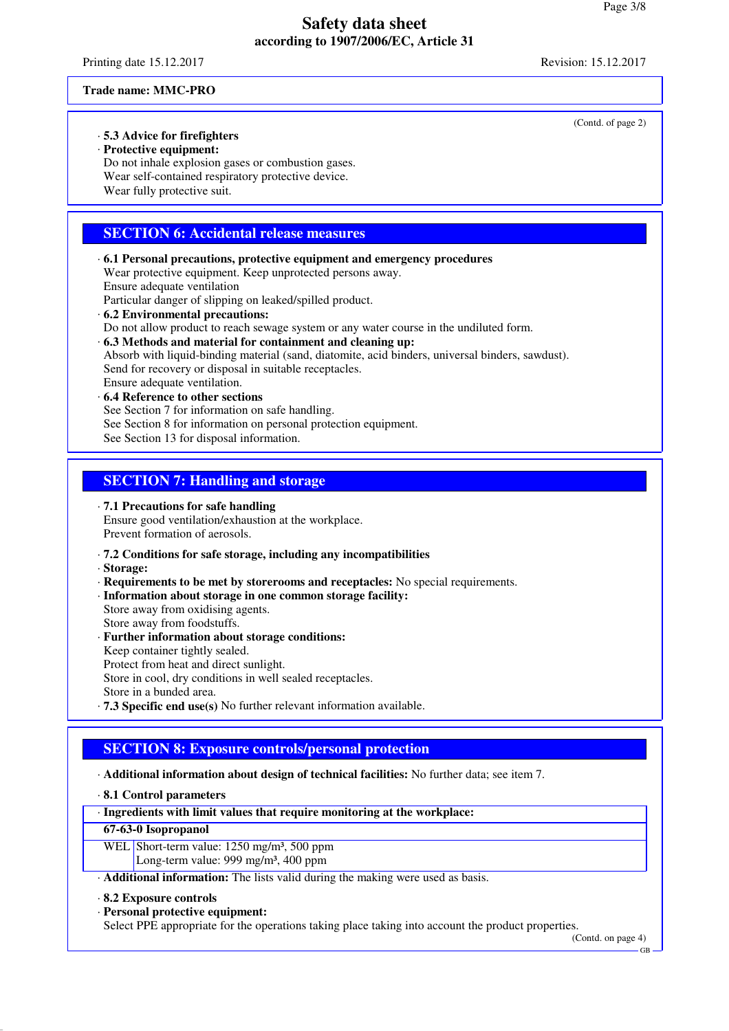Printing date 15.12.2017 Revision: 15.12.2017

#### **Trade name: MMC-PRO**

## · **5.3 Advice for firefighters**

· **Protective equipment:**

Do not inhale explosion gases or combustion gases. Wear self-contained respiratory protective device. Wear fully protective suit.

## **SECTION 6: Accidental release measures**

- · **6.1 Personal precautions, protective equipment and emergency procedures** Wear protective equipment. Keep unprotected persons away. Ensure adequate ventilation Particular danger of slipping on leaked/spilled product. · **6.2 Environmental precautions:** Do not allow product to reach sewage system or any water course in the undiluted form.
- · **6.3 Methods and material for containment and cleaning up:** Absorb with liquid-binding material (sand, diatomite, acid binders, universal binders, sawdust). Send for recovery or disposal in suitable receptacles. Ensure adequate ventilation.
- · **6.4 Reference to other sections** See Section 7 for information on safe handling. See Section 8 for information on personal protection equipment. See Section 13 for disposal information.

## **SECTION 7: Handling and storage**

#### · **7.1 Precautions for safe handling**

Ensure good ventilation/exhaustion at the workplace. Prevent formation of aerosols.

#### · **7.2 Conditions for safe storage, including any incompatibilities**

· **Storage:**

- · **Requirements to be met by storerooms and receptacles:** No special requirements.
- · **Information about storage in one common storage facility:** Store away from oxidising agents.
- Store away from foodstuffs.
- · **Further information about storage conditions:**
- Keep container tightly sealed.
- Protect from heat and direct sunlight.
- Store in cool, dry conditions in well sealed receptacles.
- Store in a bunded area.
- · **7.3 Specific end use(s)** No further relevant information available.

# **SECTION 8: Exposure controls/personal protection**

#### · **Additional information about design of technical facilities:** No further data; see item 7.

· **8.1 Control parameters**

## · **Ingredients with limit values that require monitoring at the workplace:**

## **67-63-0 Isopropanol**

WEL Short-term value: 1250 mg/m<sup>3</sup>, 500 ppm

Long-term value: 999 mg/m<sup>3</sup>, 400 ppm

· **Additional information:** The lists valid during the making were used as basis.

- · **8.2 Exposure controls**
- · **Personal protective equipment:**

Select PPE appropriate for the operations taking place taking into account the product properties.

(Contd. on page 4)

(Contd. of page 2)

GB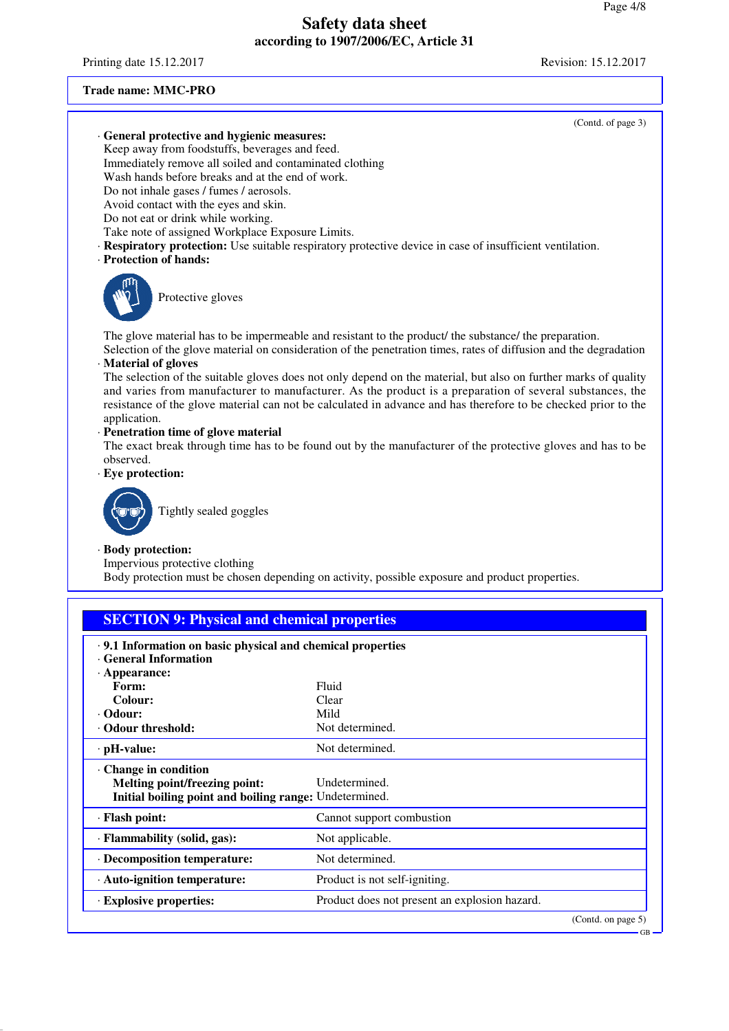Printing date 15.12.2017 Revision: 15.12.2017

#### **Trade name: MMC-PRO**

(Contd. of page 3) · **General protective and hygienic measures:** Keep away from foodstuffs, beverages and feed. Immediately remove all soiled and contaminated clothing Wash hands before breaks and at the end of work. Do not inhale gases / fumes / aerosols. Avoid contact with the eyes and skin. Do not eat or drink while working. Take note of assigned Workplace Exposure Limits. · **Respiratory protection:** Use suitable respiratory protective device in case of insufficient ventilation. · **Protection of hands:** Protective gloves The glove material has to be impermeable and resistant to the product/ the substance/ the preparation. Selection of the glove material on consideration of the penetration times, rates of diffusion and the degradation · **Material of gloves** The selection of the suitable gloves does not only depend on the material, but also on further marks of quality and varies from manufacturer to manufacturer. As the product is a preparation of several substances, the resistance of the glove material can not be calculated in advance and has therefore to be checked prior to the application. · **Penetration time of glove material** The exact break through time has to be found out by the manufacturer of the protective gloves and has to be observed. · **Eye protection:** Tightly sealed goggles · **Body protection:** Impervious protective clothing Body protection must be chosen depending on activity, possible exposure and product properties. **SECTION 9: Physical and chemical properties** · **9.1 Information on basic physical and chemical properties** · **General Information**

| OCHCLAI THIOI MAGUU                                    |                                               |  |
|--------------------------------------------------------|-----------------------------------------------|--|
| $\cdot$ Appearance:                                    |                                               |  |
| Form:                                                  | Fluid                                         |  |
| Colour:                                                | Clear                                         |  |
| $\cdot$ Odour:                                         | Mild                                          |  |
| • Odour threshold:                                     | Not determined.                               |  |
| $\cdot$ pH-value:                                      | Not determined.                               |  |
| Change in condition                                    |                                               |  |
| Melting point/freezing point:                          | Undetermined.                                 |  |
| Initial boiling point and boiling range: Undetermined. |                                               |  |
| · Flash point:                                         | Cannot support combustion                     |  |
| · Flammability (solid, gas):                           | Not applicable.                               |  |
| · Decomposition temperature:                           | Not determined.                               |  |
| · Auto-ignition temperature:                           | Product is not self-igniting.                 |  |
| $\cdot$ Explosive properties:                          | Product does not present an explosion hazard. |  |
|                                                        | (Contd. on page 5)                            |  |

GB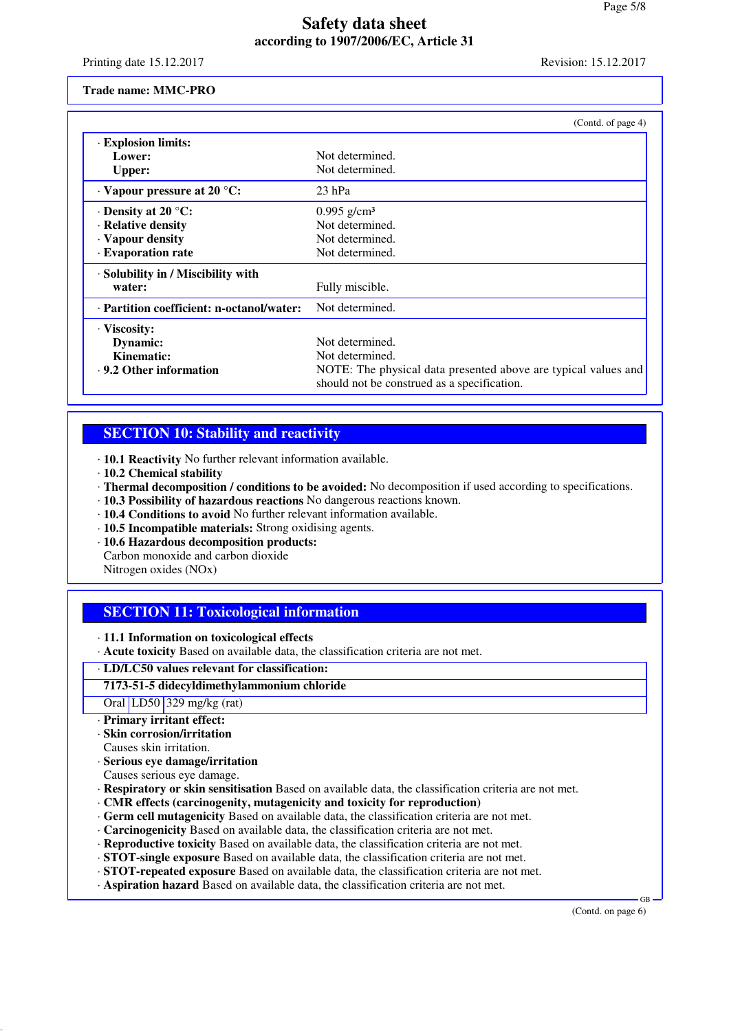Printing date 15.12.2017 Revision: 15.12.2017

#### **Trade name: MMC-PRO**

|                                           | (Contd. of page 4)                                                                                            |
|-------------------------------------------|---------------------------------------------------------------------------------------------------------------|
| · Explosion limits:<br>Lower:             | Not determined.                                                                                               |
| <b>Upper:</b>                             | Not determined.                                                                                               |
| · Vapour pressure at 20 °C:               | $23$ hPa                                                                                                      |
| $\cdot$ Density at 20 $\degree$ C:        | $0.995$ g/cm <sup>3</sup>                                                                                     |
| · Relative density                        | Not determined.                                                                                               |
| $\cdot$ Vapour density                    | Not determined.                                                                                               |
| <b>Evaporation rate</b>                   | Not determined.                                                                                               |
| · Solubility in / Miscibility with        |                                                                                                               |
| water:                                    | Fully miscible.                                                                                               |
| · Partition coefficient: n-octanol/water: | Not determined.                                                                                               |
| · Viscosity:                              |                                                                                                               |
| Dynamic:                                  | Not determined.                                                                                               |
| Kinematic:                                | Not determined.                                                                                               |
| . 9.2 Other information                   | NOTE: The physical data presented above are typical values and<br>should not be construed as a specification. |

## **SECTION 10: Stability and reactivity**

· **10.1 Reactivity** No further relevant information available.

- · **10.2 Chemical stability**
- · **Thermal decomposition / conditions to be avoided:** No decomposition if used according to specifications.
- · **10.3 Possibility of hazardous reactions** No dangerous reactions known.
- · **10.4 Conditions to avoid** No further relevant information available.
- · **10.5 Incompatible materials:** Strong oxidising agents.
- · **10.6 Hazardous decomposition products:** Carbon monoxide and carbon dioxide Nitrogen oxides (NOx)

# **SECTION 11: Toxicological information**

· **11.1 Information on toxicological effects**

· **Acute toxicity** Based on available data, the classification criteria are not met.

#### · **LD/LC50 values relevant for classification:**

## **7173-51-5 didecyldimethylammonium chloride**

Oral LD50 329 mg/kg (rat)

· **Primary irritant effect:**

- · **Skin corrosion/irritation**
- Causes skin irritation.
- · **Serious eye damage/irritation**
- Causes serious eye damage.
- · **Respiratory or skin sensitisation** Based on available data, the classification criteria are not met.
- · **CMR effects (carcinogenity, mutagenicity and toxicity for reproduction)**
- · **Germ cell mutagenicity** Based on available data, the classification criteria are not met.
- · **Carcinogenicity** Based on available data, the classification criteria are not met.
- · **Reproductive toxicity** Based on available data, the classification criteria are not met.
- · **STOT-single exposure** Based on available data, the classification criteria are not met.
- · **STOT-repeated exposure** Based on available data, the classification criteria are not met.
- · **Aspiration hazard** Based on available data, the classification criteria are not met.

(Contd. on page 6)

GB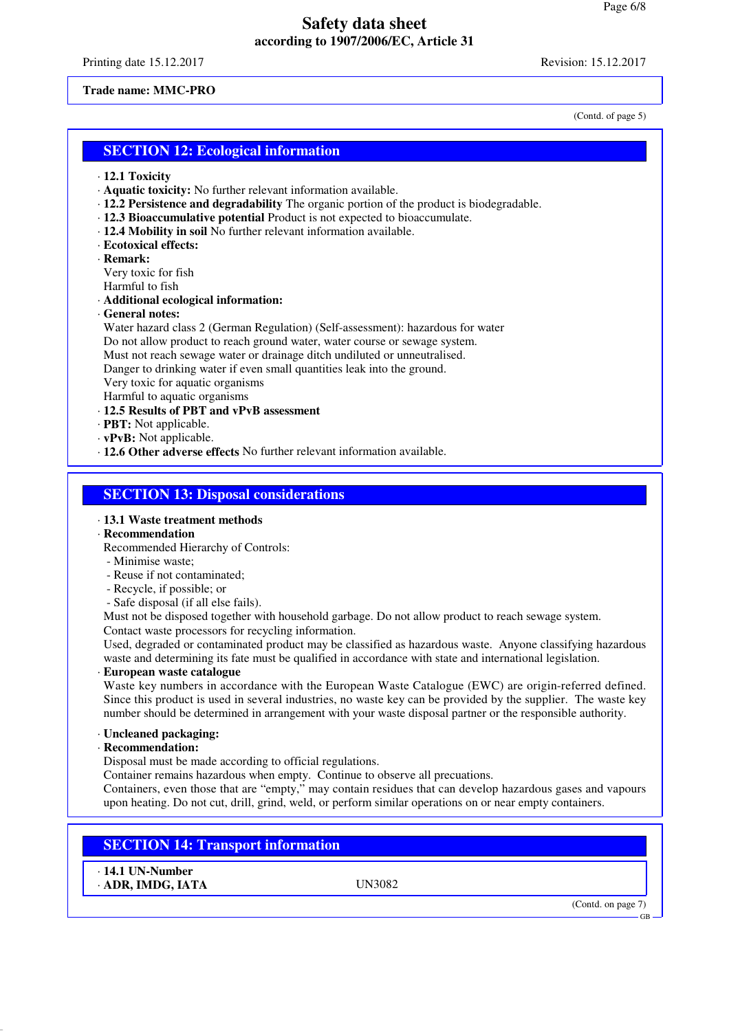Printing date 15.12.2017 Revision: 15.12.2017

#### **Trade name: MMC-PRO**

(Contd. of page 5)

## **SECTION 12: Ecological information**

- · **12.1 Toxicity**
- · **Aquatic toxicity:** No further relevant information available.
- · **12.2 Persistence and degradability** The organic portion of the product is biodegradable.
- · **12.3 Bioaccumulative potential** Product is not expected to bioaccumulate.
- · **12.4 Mobility in soil** No further relevant information available.
- · **Ecotoxical effects:**
- · **Remark:**

Very toxic for fish Harmful to fish

- · **Additional ecological information:**
- · **General notes:**

Water hazard class 2 (German Regulation) (Self-assessment): hazardous for water Do not allow product to reach ground water, water course or sewage system. Must not reach sewage water or drainage ditch undiluted or unneutralised. Danger to drinking water if even small quantities leak into the ground. Very toxic for aquatic organisms Harmful to aquatic organisms

· **12.5 Results of PBT and vPvB assessment**

- · **PBT:** Not applicable.
- · **vPvB:** Not applicable.
- · **12.6 Other adverse effects** No further relevant information available.

# **SECTION 13: Disposal considerations**

#### · **13.1 Waste treatment methods**

#### · **Recommendation**

- Recommended Hierarchy of Controls:
- Minimise waste;
- Reuse if not contaminated;
- Recycle, if possible; or
- Safe disposal (if all else fails).

Must not be disposed together with household garbage. Do not allow product to reach sewage system. Contact waste processors for recycling information.

Used, degraded or contaminated product may be classified as hazardous waste. Anyone classifying hazardous waste and determining its fate must be qualified in accordance with state and international legislation.

· **European waste catalogue**

Waste key numbers in accordance with the European Waste Catalogue (EWC) are origin-referred defined. Since this product is used in several industries, no waste key can be provided by the supplier. The waste key number should be determined in arrangement with your waste disposal partner or the responsible authority.

- · **Uncleaned packaging:**
- · **Recommendation:**

Disposal must be made according to official regulations.

Container remains hazardous when empty. Continue to observe all precuations.

Containers, even those that are "empty," may contain residues that can develop hazardous gases and vapours upon heating. Do not cut, drill, grind, weld, or perform similar operations on or near empty containers.

## **SECTION 14: Transport information**

· **14.1 UN-Number** · **ADR, IMDG, IATA** UN3082

(Contd. on page 7)

GB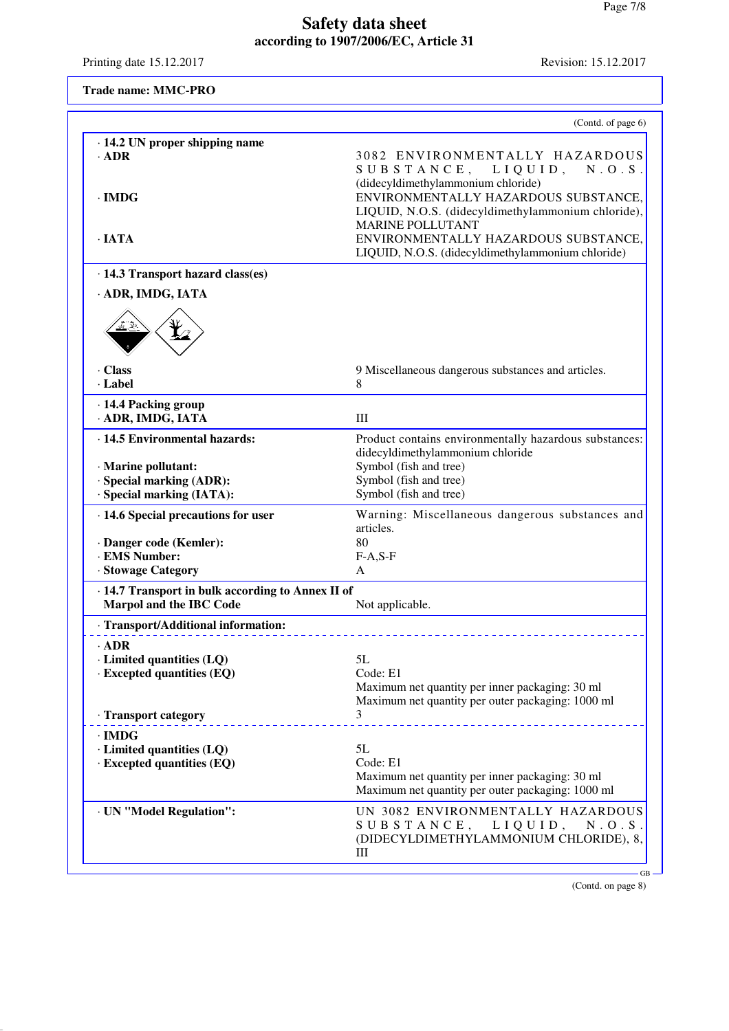Printing date 15.12.2017 Revision: 15.12.2017

| <b>Trade name: MMC-PRO</b>                                                                                    |                                                                                                                                                                                                                                                                                         |
|---------------------------------------------------------------------------------------------------------------|-----------------------------------------------------------------------------------------------------------------------------------------------------------------------------------------------------------------------------------------------------------------------------------------|
|                                                                                                               | (Contd. of page 6)                                                                                                                                                                                                                                                                      |
| $\cdot$ 14.2 UN proper shipping name<br>· ADR<br>$\cdot$ IMDG<br>$\cdot$ JATA                                 | 3082 ENVIRONMENTALLY HAZARDOUS<br>SUBSTANCE,<br>LIQUID,<br>$N \cdot O \cdot S$ .<br>(didecyldimethylammonium chloride)<br>ENVIRONMENTALLY HAZARDOUS SUBSTANCE,<br>LIQUID, N.O.S. (didecyldimethylammonium chloride),<br><b>MARINE POLLUTANT</b><br>ENVIRONMENTALLY HAZARDOUS SUBSTANCE, |
| · 14.3 Transport hazard class(es)                                                                             | LIQUID, N.O.S. (didecyldimethylammonium chloride)                                                                                                                                                                                                                                       |
| · ADR, IMDG, IATA                                                                                             |                                                                                                                                                                                                                                                                                         |
| · Class<br>· Label                                                                                            | 9 Miscellaneous dangerous substances and articles.<br>8                                                                                                                                                                                                                                 |
| · 14.4 Packing group<br>· ADR, IMDG, IATA                                                                     | III                                                                                                                                                                                                                                                                                     |
| · 14.5 Environmental hazards:<br>· Marine pollutant:<br>· Special marking (ADR):<br>· Special marking (IATA): | Product contains environmentally hazardous substances:<br>didecyldimethylammonium chloride<br>Symbol (fish and tree)<br>Symbol (fish and tree)<br>Symbol (fish and tree)                                                                                                                |
| · 14.6 Special precautions for user<br>· Danger code (Kemler):<br>· EMS Number:<br>· Stowage Category         | Warning: Miscellaneous dangerous substances and<br>articles.<br>80<br>$F-A, S-F$<br>A                                                                                                                                                                                                   |
| · 14.7 Transport in bulk according to Annex II of<br><b>Marpol and the IBC Code</b>                           | Not applicable.                                                                                                                                                                                                                                                                         |
| · Transport/Additional information:                                                                           |                                                                                                                                                                                                                                                                                         |
| $\cdot$ ADR<br>· Limited quantities (LQ)<br>· Excepted quantities (EQ)<br>· Transport category                | 5L<br>Code: E1<br>Maximum net quantity per inner packaging: 30 ml<br>Maximum net quantity per outer packaging: 1000 ml<br>3                                                                                                                                                             |
| $\cdot$ IMDG<br>$\cdot$ Limited quantities (LQ)<br>· Excepted quantities (EQ)                                 | 5L<br>Code: E1<br>Maximum net quantity per inner packaging: 30 ml<br>Maximum net quantity per outer packaging: 1000 ml                                                                                                                                                                  |
| · UN "Model Regulation":                                                                                      | UN 3082 ENVIRONMENTALLY HAZARDOUS<br>SUBSTANCE, LIQUID, N.O.S.<br>(DIDECYLDIMETHYLAMMONIUM CHLORIDE), 8,<br>Ш<br><b>GB</b>                                                                                                                                                              |

(Contd. on page 8)